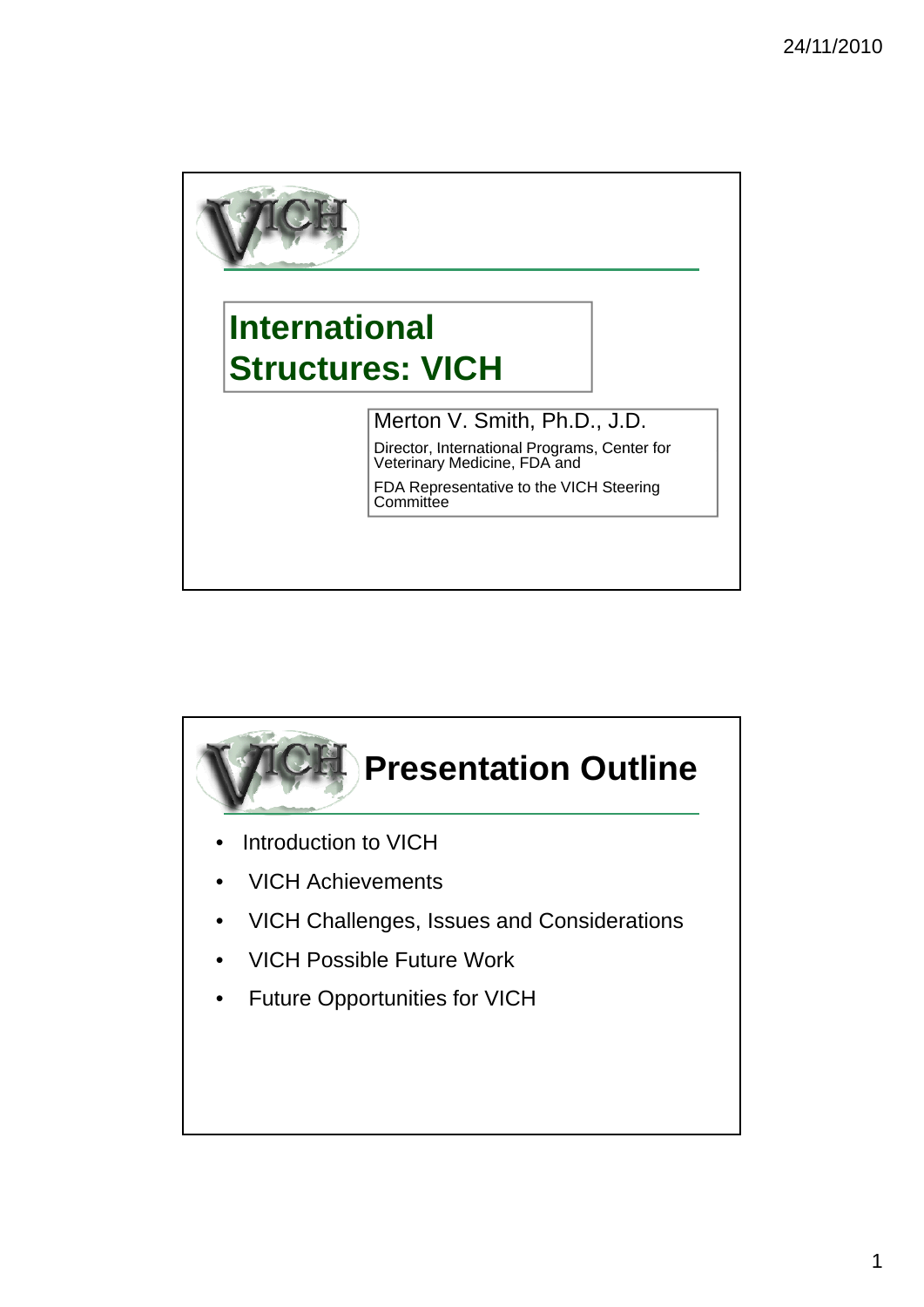

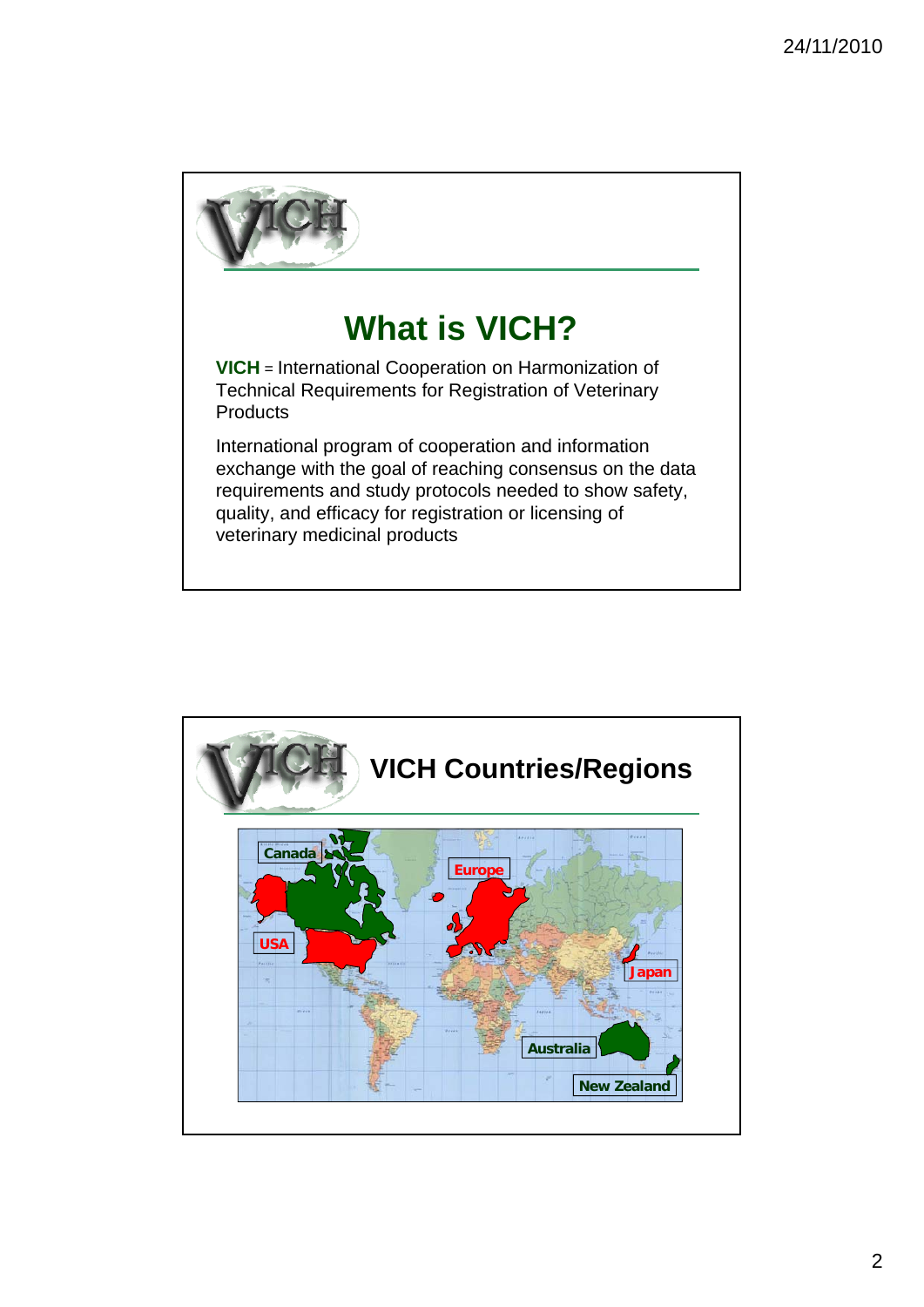

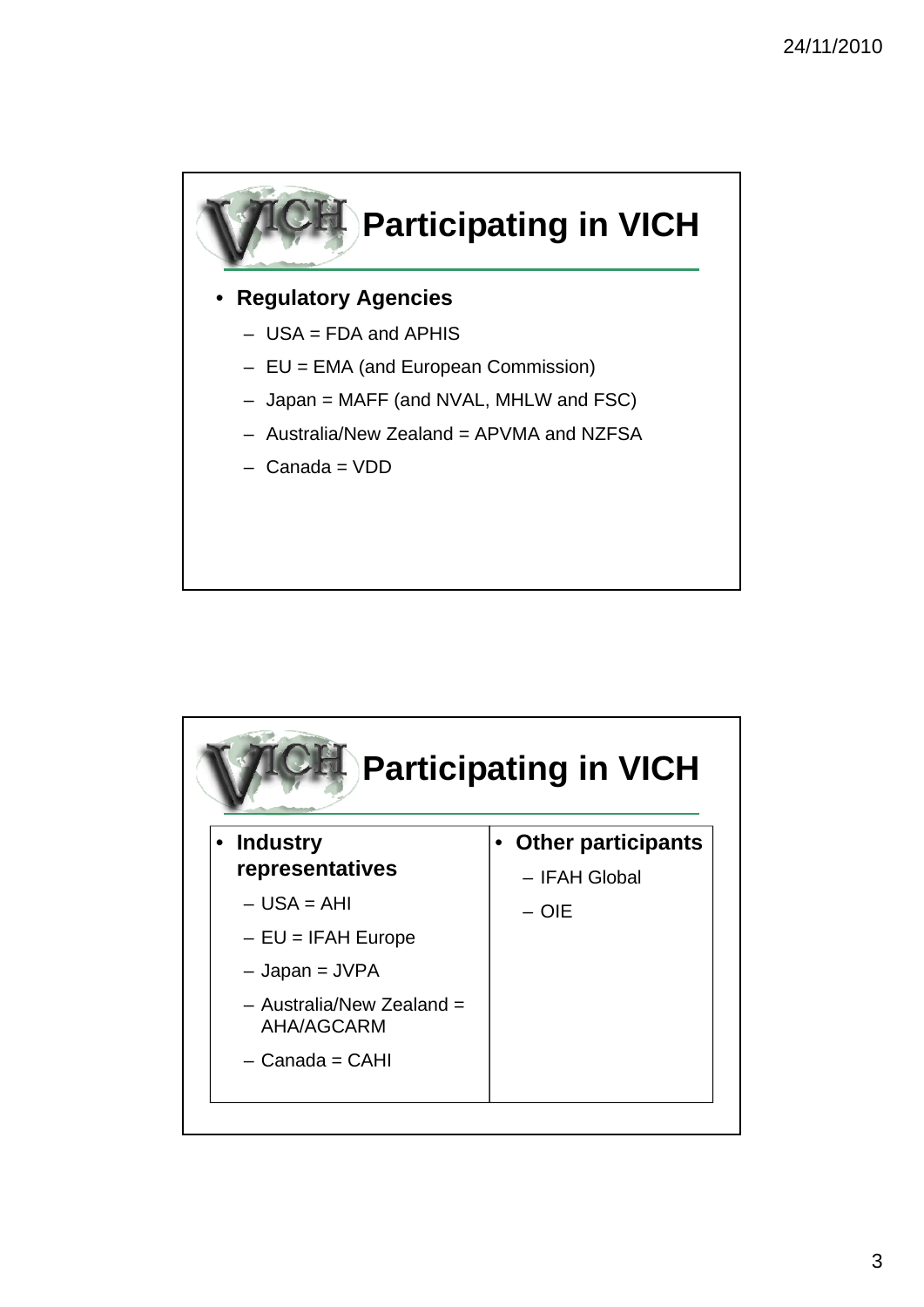

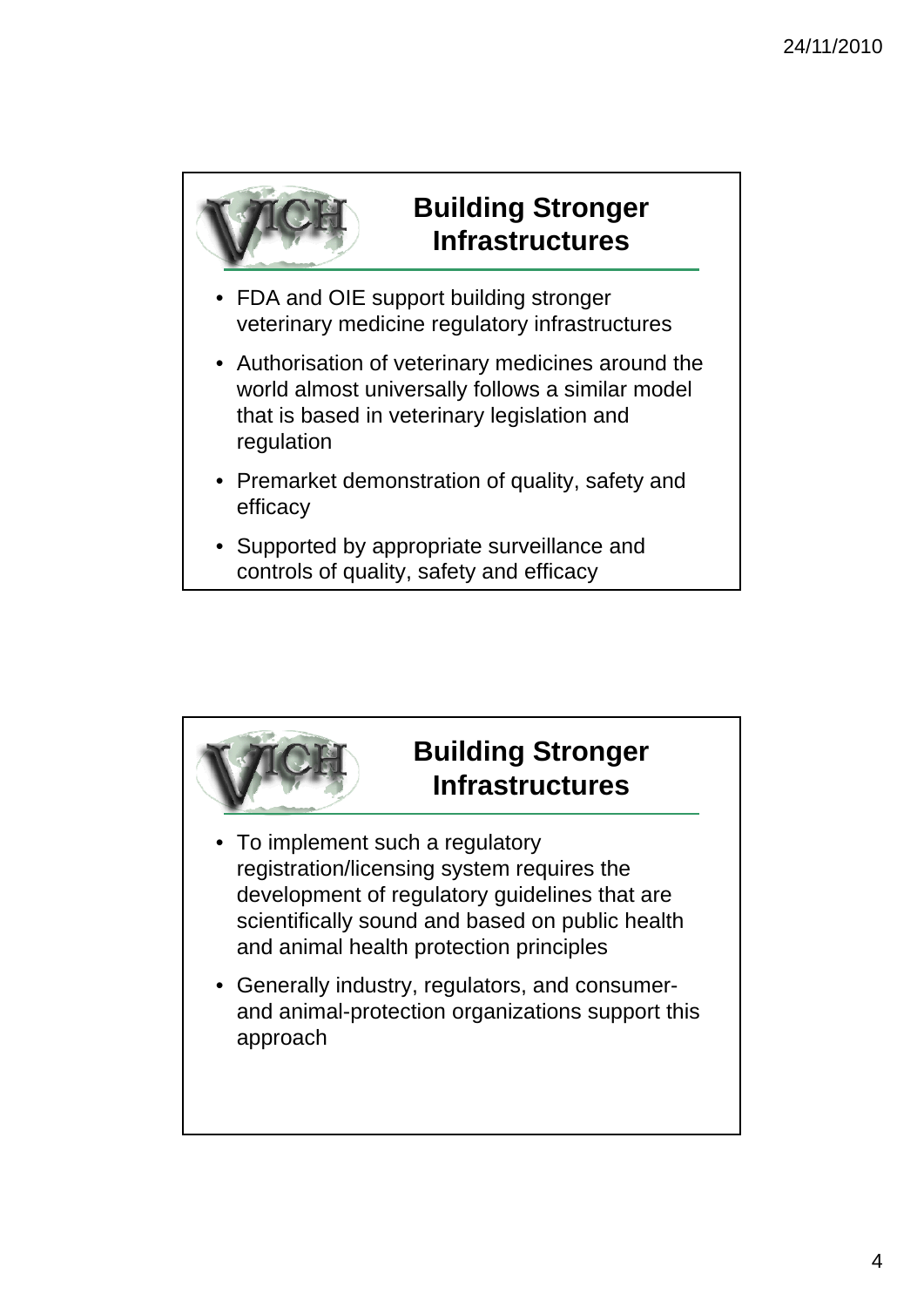

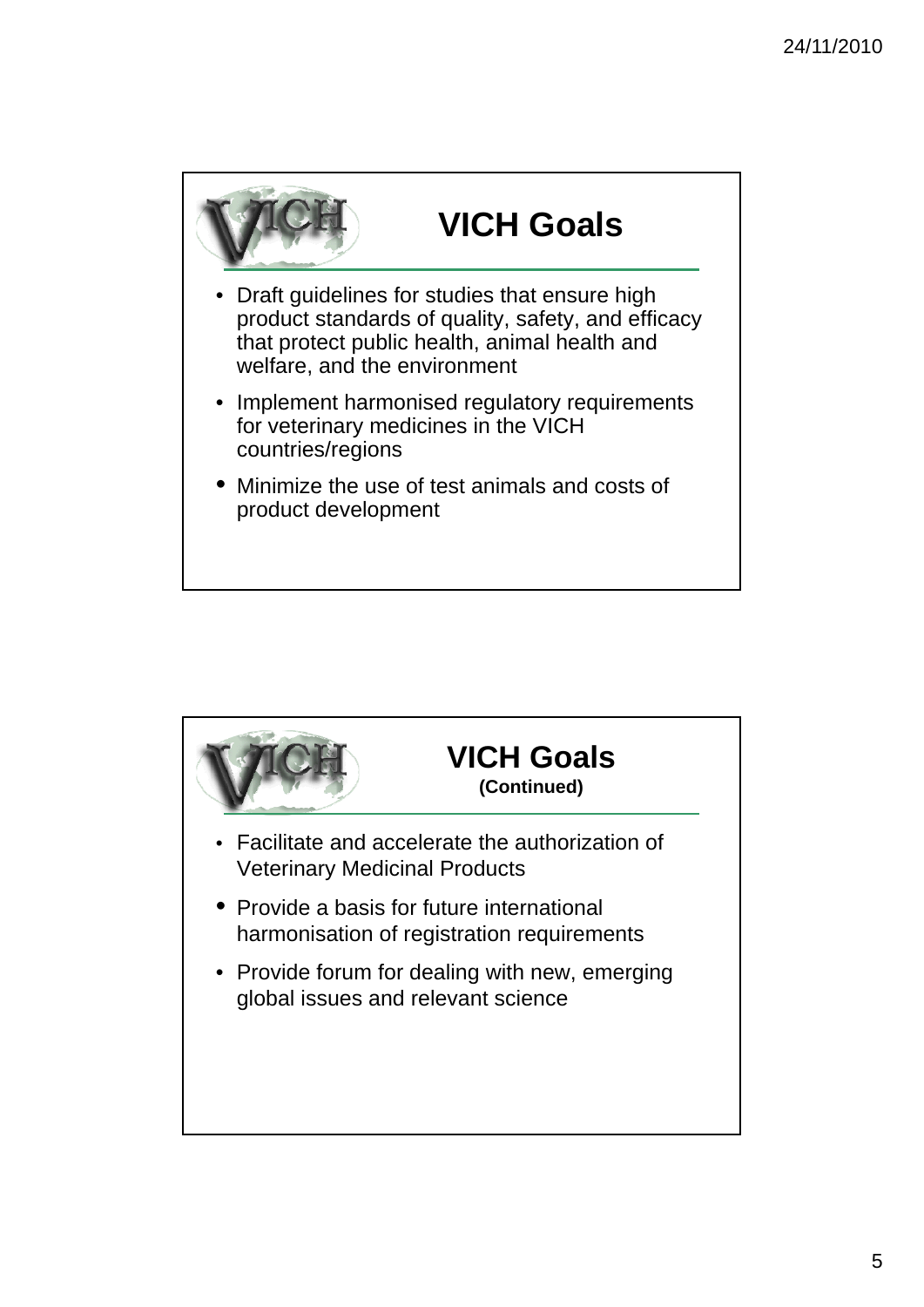

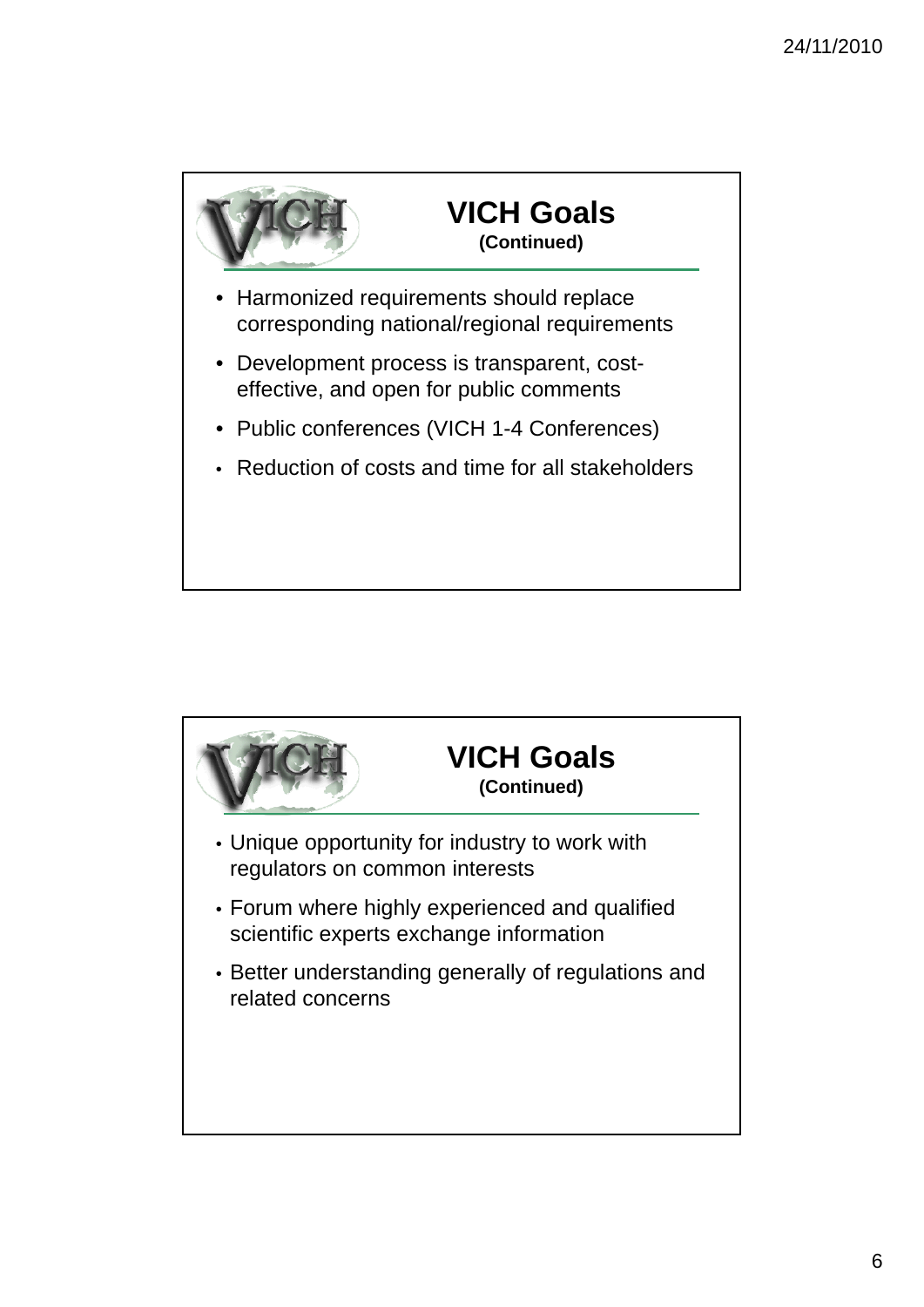

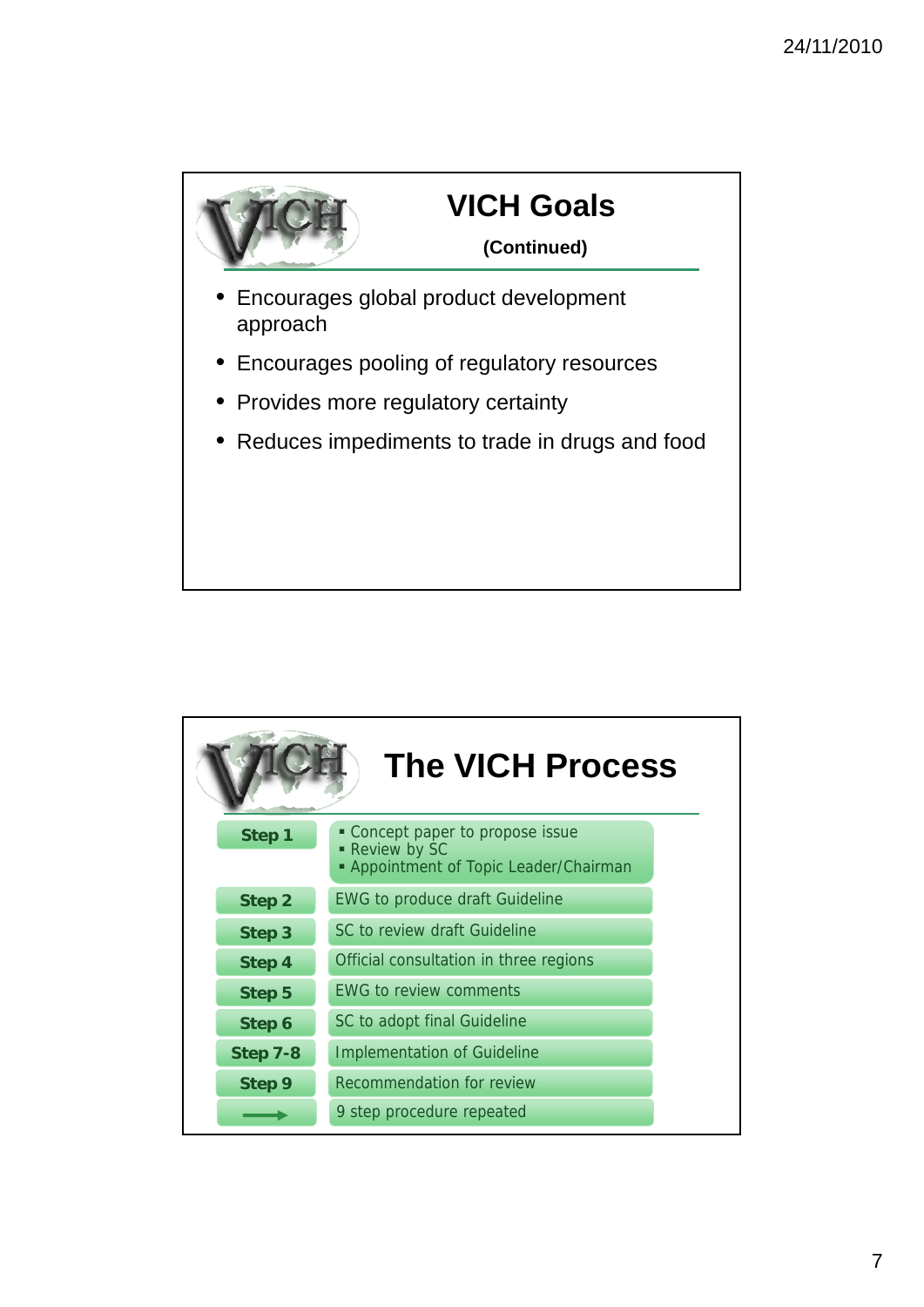

| <b>The VICH Process</b> |                                                                                                     |
|-------------------------|-----------------------------------------------------------------------------------------------------|
| Step 1                  | • Concept paper to propose issue<br>- Review by SC<br><b>- Appointment of Topic Leader/Chairman</b> |
| Step 2                  | <b>EWG to produce draft Guideline</b>                                                               |
| Step 3                  | SC to review draft Guideline                                                                        |
| Step 4                  | Official consultation in three regions                                                              |
| Step 5                  | <b>EWG to review comments</b>                                                                       |
| Step 6                  | SC to adopt final Guideline                                                                         |
| Step 7-8                | <b>Implementation of Guideline</b>                                                                  |
| Step 9                  | Recommendation for review                                                                           |
|                         | 9 step procedure repeated                                                                           |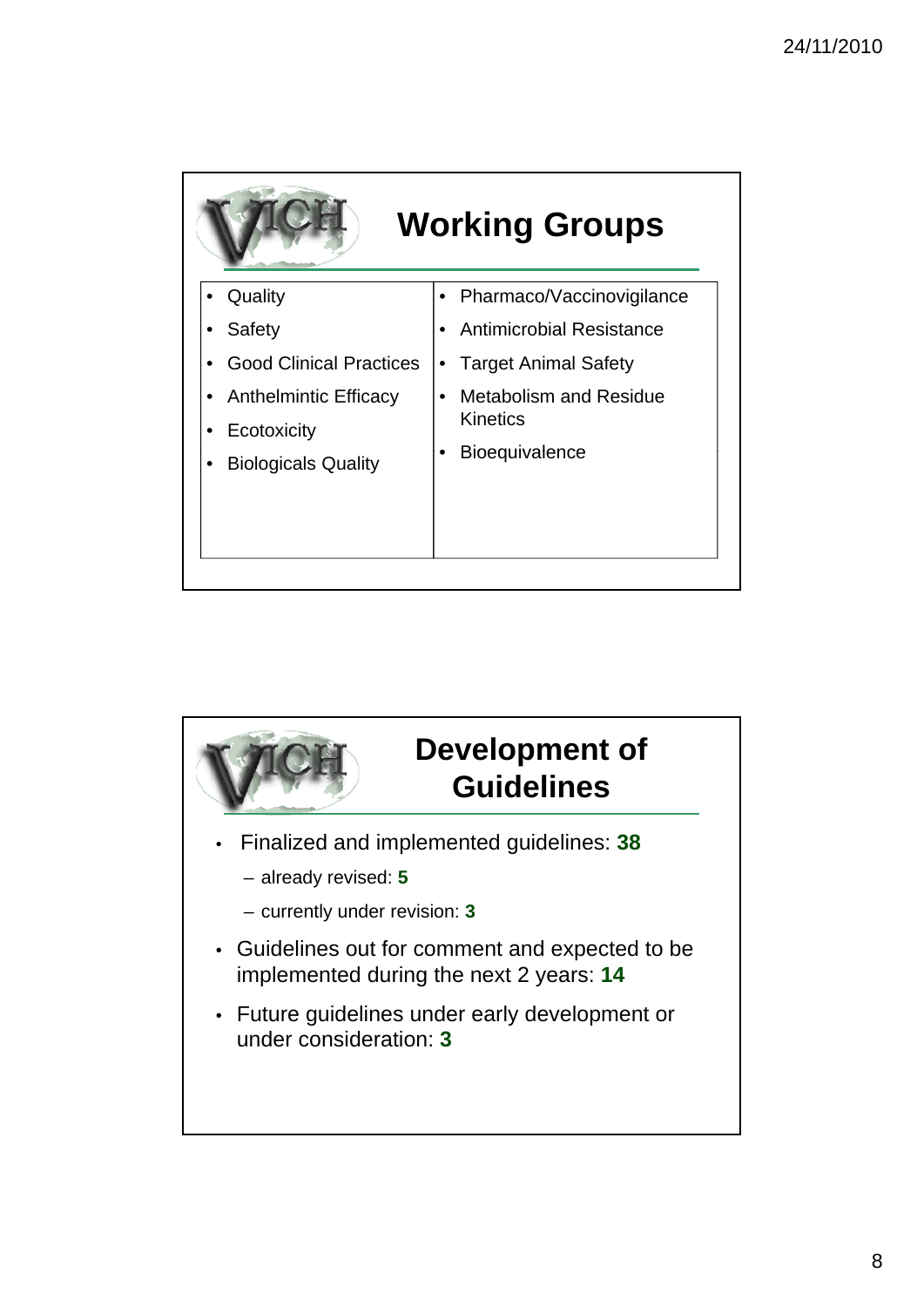

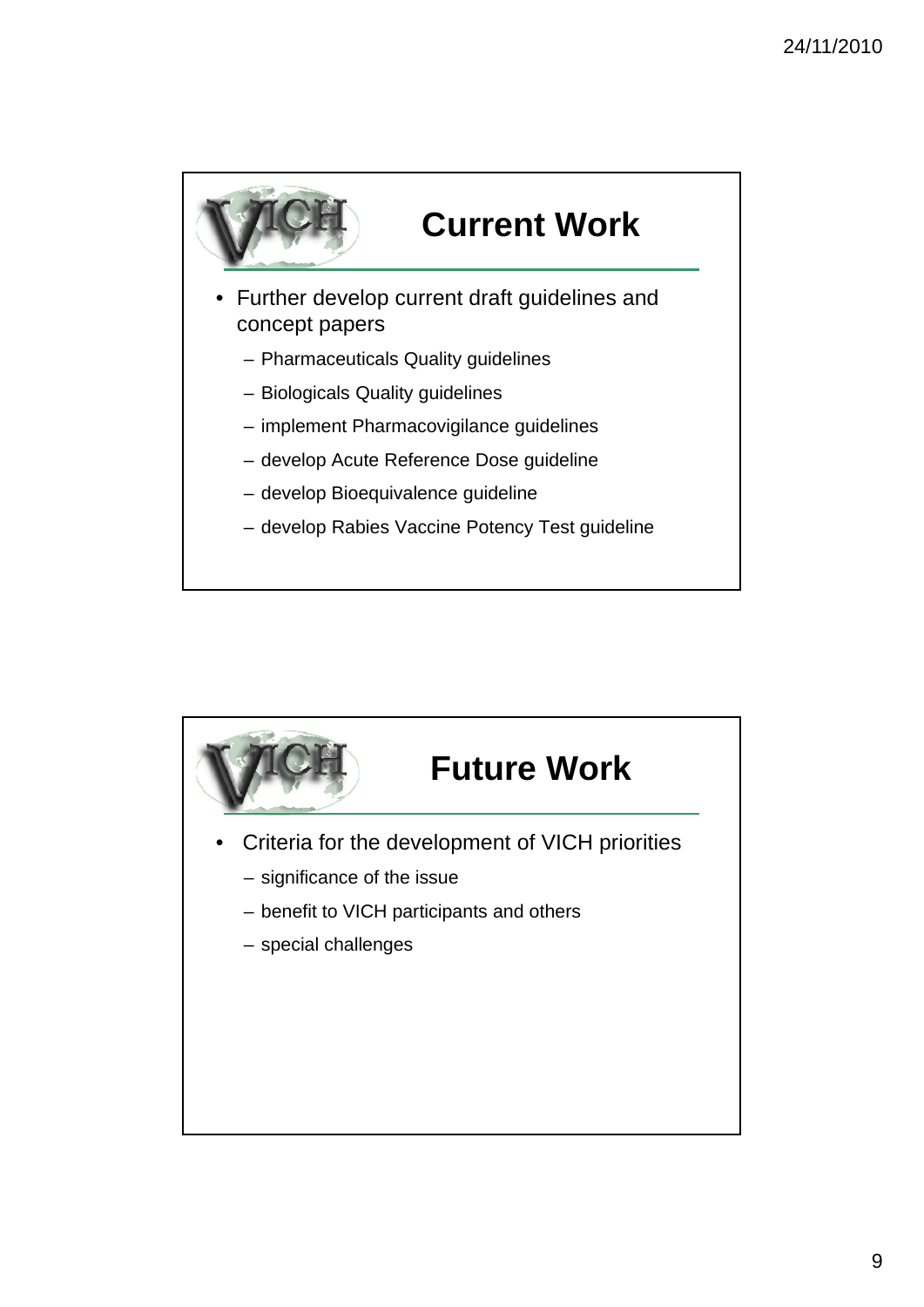

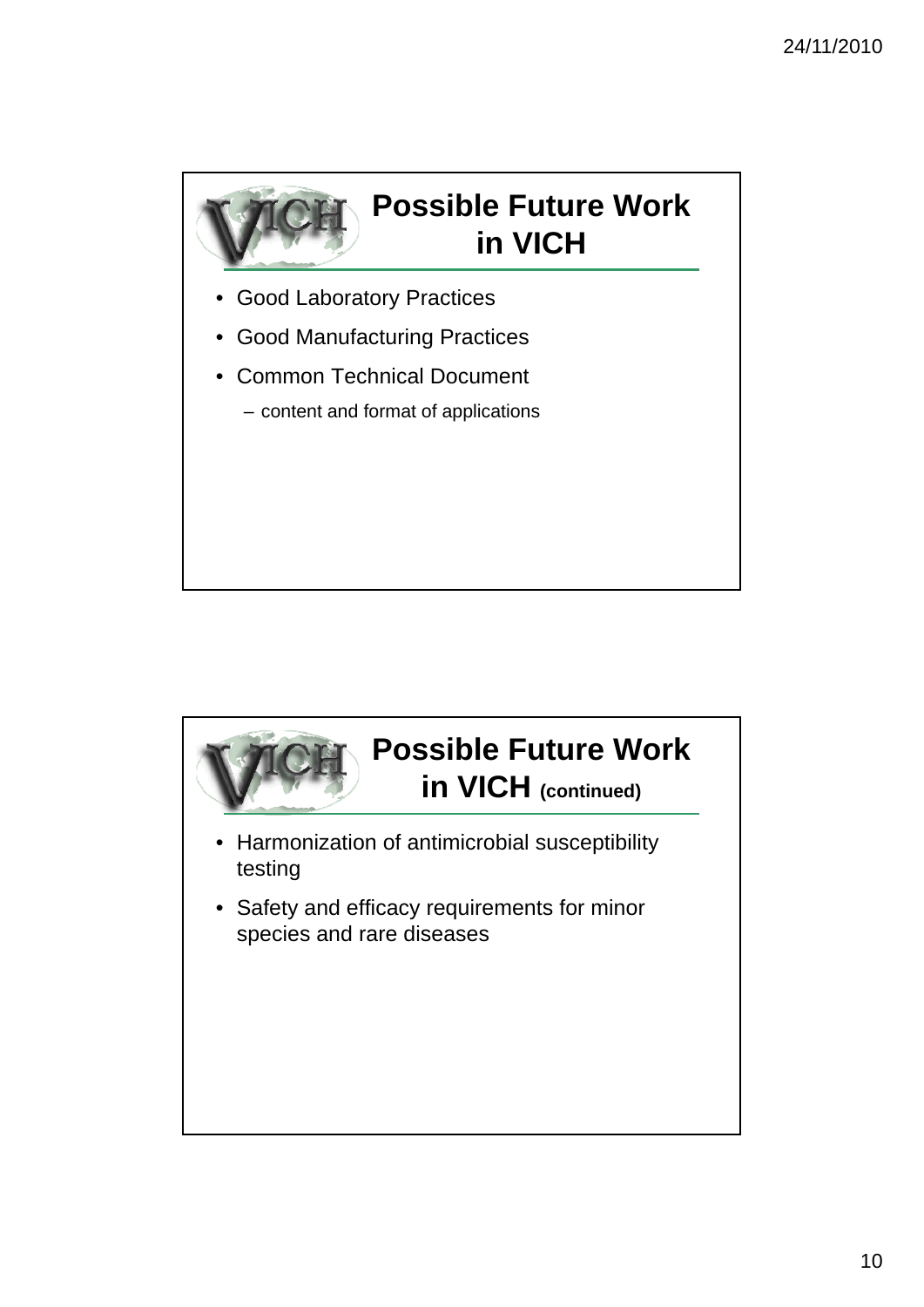

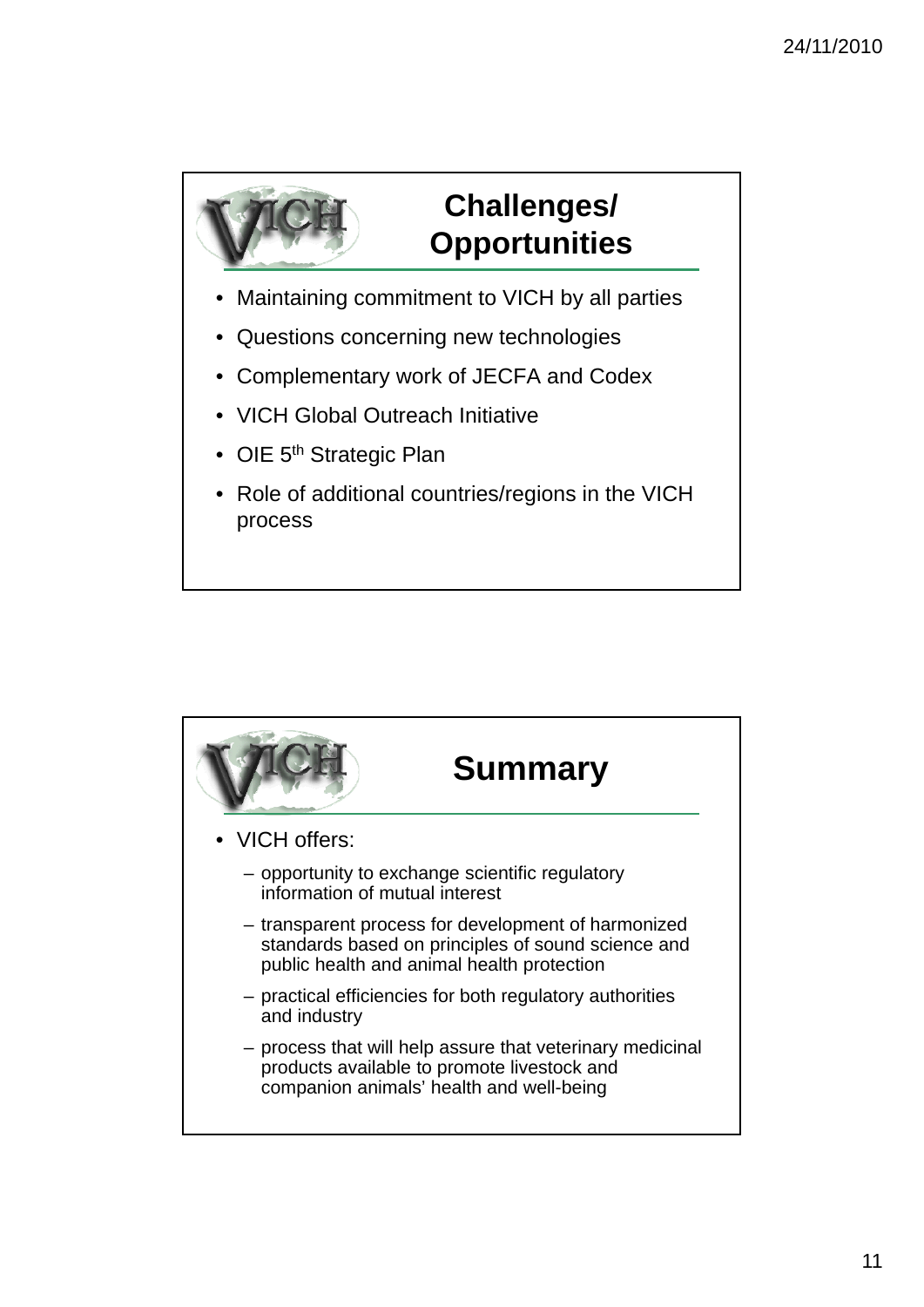